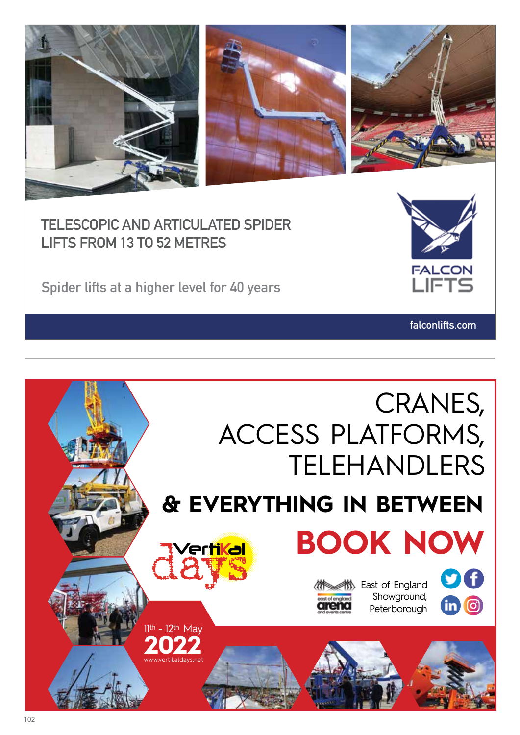

### **Telescopic and articulated spider lifts from 13 to 52 metres**

**Spider lifts at a higher level for 40 years**



**falconlifts.com**